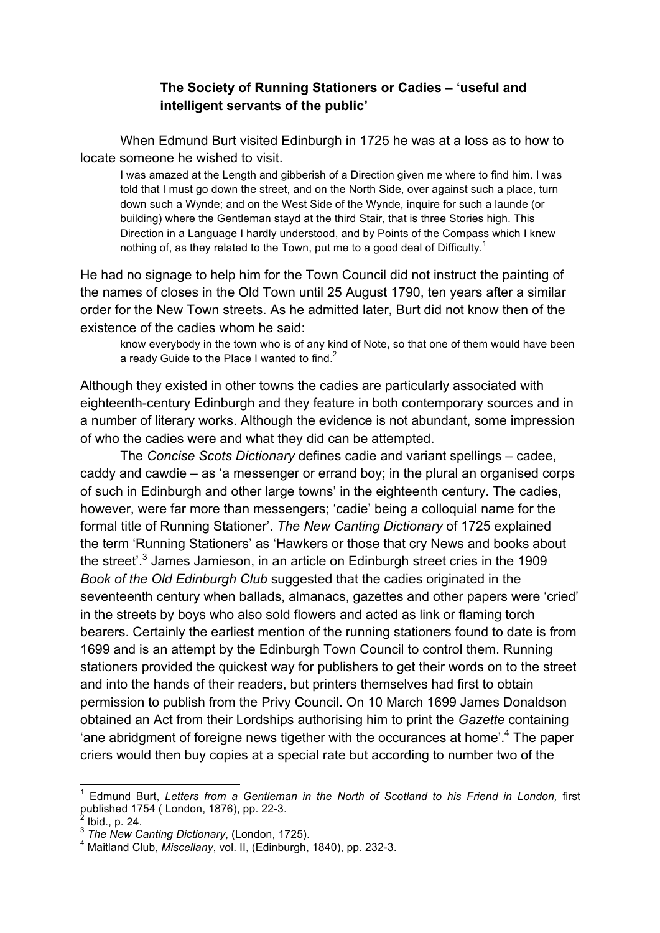## **The Society of Running Stationers or Cadies – 'useful and intelligent servants of the public'**

When Edmund Burt visited Edinburgh in 1725 he was at a loss as to how to locate someone he wished to visit.

I was amazed at the Length and gibberish of a Direction given me where to find him. I was told that I must go down the street, and on the North Side, over against such a place, turn down such a Wynde; and on the West Side of the Wynde, inquire for such a launde (or building) where the Gentleman stayd at the third Stair, that is three Stories high. This Direction in a Language I hardly understood, and by Points of the Compass which I knew nothing of, as they related to the Town, put me to a good deal of Difficulty.<sup>1</sup>

He had no signage to help him for the Town Council did not instruct the painting of the names of closes in the Old Town until 25 August 1790, ten years after a similar order for the New Town streets. As he admitted later, Burt did not know then of the existence of the cadies whom he said:

know everybody in the town who is of any kind of Note, so that one of them would have been a ready Guide to the Place I wanted to find. $2^2$ 

Although they existed in other towns the cadies are particularly associated with eighteenth-century Edinburgh and they feature in both contemporary sources and in a number of literary works. Although the evidence is not abundant, some impression of who the cadies were and what they did can be attempted.

The *Concise Scots Dictionary* defines cadie and variant spellings – cadee, caddy and cawdie – as 'a messenger or errand boy; in the plural an organised corps of such in Edinburgh and other large towns' in the eighteenth century. The cadies, however, were far more than messengers; 'cadie' being a colloquial name for the formal title of Running Stationer'. *The New Canting Dictionary* of 1725 explained the term 'Running Stationers' as 'Hawkers or those that cry News and books about the street'.<sup>3</sup> James Jamieson, in an article on Edinburgh street cries in the 1909 *Book of the Old Edinburgh Club* suggested that the cadies originated in the seventeenth century when ballads, almanacs, gazettes and other papers were 'cried' in the streets by boys who also sold flowers and acted as link or flaming torch bearers. Certainly the earliest mention of the running stationers found to date is from 1699 and is an attempt by the Edinburgh Town Council to control them. Running stationers provided the quickest way for publishers to get their words on to the street and into the hands of their readers, but printers themselves had first to obtain permission to publish from the Privy Council. On 10 March 1699 James Donaldson obtained an Act from their Lordships authorising him to print the *Gazette* containing 'ane abridgment of foreigne news tigether with the occurances at home'.4 The paper criers would then buy copies at a special rate but according to number two of the

<sup>&</sup>lt;sup>1</sup> Edmund Burt, *Letters from a Gentleman in the North of Scotland to his Friend in London, first published 1754 (London, 1876), pp. 22-3.* 

<sup>&</sup>lt;sup>2</sup> Ibid., p. 24.<br><sup>3</sup> *The New Canting Dictionary*, (London, 1725).<br><sup>4</sup> Maitland Club, *Miscellany*, vol. II, (Edinburgh, 1840), pp. 232-3.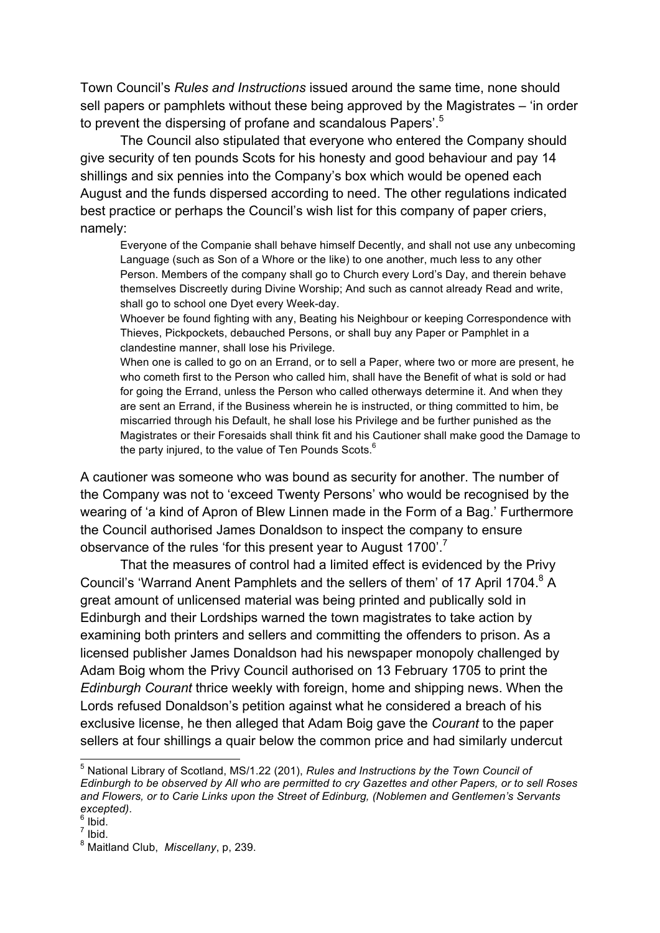Town Council's *Rules and Instructions* issued around the same time, none should sell papers or pamphlets without these being approved by the Magistrates – 'in order to prevent the dispersing of profane and scandalous Papers'.<sup>5</sup>

The Council also stipulated that everyone who entered the Company should give security of ten pounds Scots for his honesty and good behaviour and pay 14 shillings and six pennies into the Company's box which would be opened each August and the funds dispersed according to need. The other regulations indicated best practice or perhaps the Council's wish list for this company of paper criers, namely:

Everyone of the Companie shall behave himself Decently, and shall not use any unbecoming Language (such as Son of a Whore or the like) to one another, much less to any other Person. Members of the company shall go to Church every Lord's Day, and therein behave themselves Discreetly during Divine Worship; And such as cannot already Read and write, shall go to school one Dyet every Week-day.

Whoever be found fighting with any, Beating his Neighbour or keeping Correspondence with Thieves, Pickpockets, debauched Persons, or shall buy any Paper or Pamphlet in a clandestine manner, shall lose his Privilege.

When one is called to go on an Errand, or to sell a Paper, where two or more are present, he who cometh first to the Person who called him, shall have the Benefit of what is sold or had for going the Errand, unless the Person who called otherways determine it. And when they are sent an Errand, if the Business wherein he is instructed, or thing committed to him, be miscarried through his Default, he shall lose his Privilege and be further punished as the Magistrates or their Foresaids shall think fit and his Cautioner shall make good the Damage to the party injured, to the value of Ten Pounds Scots. $6$ 

A cautioner was someone who was bound as security for another. The number of the Company was not to 'exceed Twenty Persons' who would be recognised by the wearing of 'a kind of Apron of Blew Linnen made in the Form of a Bag.' Furthermore the Council authorised James Donaldson to inspect the company to ensure observance of the rules 'for this present year to August 1700'.<sup>7</sup>

That the measures of control had a limited effect is evidenced by the Privy Council's 'Warrand Anent Pamphlets and the sellers of them' of 17 April 1704.<sup>8</sup> A great amount of unlicensed material was being printed and publically sold in Edinburgh and their Lordships warned the town magistrates to take action by examining both printers and sellers and committing the offenders to prison. As a licensed publisher James Donaldson had his newspaper monopoly challenged by Adam Boig whom the Privy Council authorised on 13 February 1705 to print the *Edinburgh Courant* thrice weekly with foreign, home and shipping news. When the Lords refused Donaldson's petition against what he considered a breach of his exclusive license, he then alleged that Adam Boig gave the *Courant* to the paper sellers at four shillings a quair below the common price and had similarly undercut

 <sup>5</sup> National Library of Scotland, MS/1.22 (201), *Rules and Instructions by the Town Council of Edinburgh to be observed by All who are permitted to cry Gazettes and other Papers, or to sell Roses and Flowers, or to Carie Links upon the Street of Edinburg, (Noblemen and Gentlemen's Servants*  excepted).<br><sup>6</sup> Ibid.

 $7$  Ibid.

<sup>8</sup> Maitland Club, *Miscellany*, p, 239.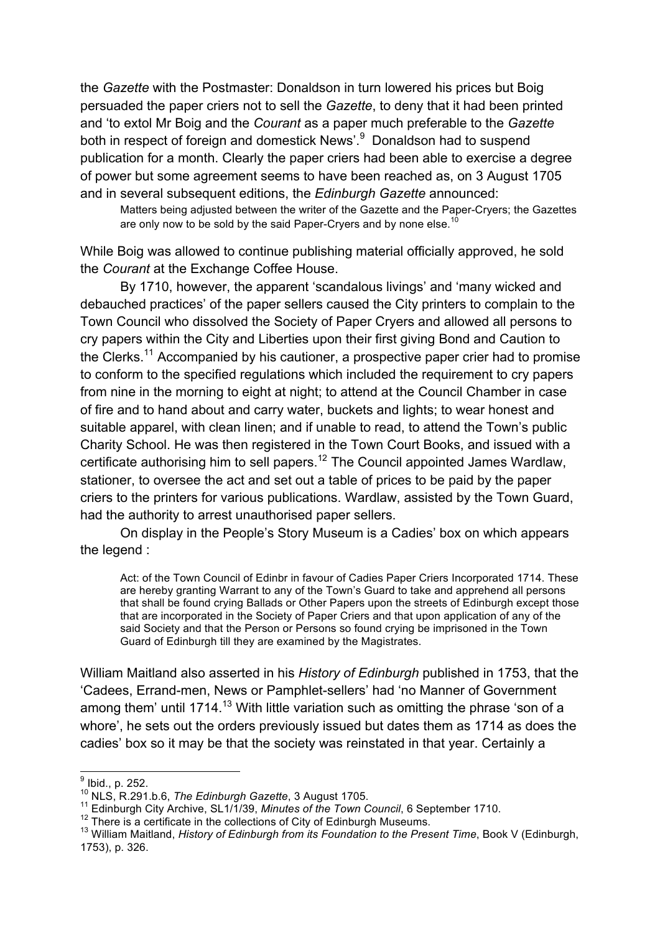the *Gazette* with the Postmaster: Donaldson in turn lowered his prices but Boig persuaded the paper criers not to sell the *Gazette*, to deny that it had been printed and 'to extol Mr Boig and the *Courant* as a paper much preferable to the *Gazette* both in respect of foreign and domestick News'.<sup>9</sup> Donaldson had to suspend publication for a month. Clearly the paper criers had been able to exercise a degree of power but some agreement seems to have been reached as, on 3 August 1705 and in several subsequent editions, the *Edinburgh Gazette* announced:

Matters being adjusted between the writer of the Gazette and the Paper-Cryers; the Gazettes are only now to be sold by the said Paper-Cryers and by none else.<sup>10</sup>

While Boig was allowed to continue publishing material officially approved, he sold the *Courant* at the Exchange Coffee House.

By 1710, however, the apparent 'scandalous livings' and 'many wicked and debauched practices' of the paper sellers caused the City printers to complain to the Town Council who dissolved the Society of Paper Cryers and allowed all persons to cry papers within the City and Liberties upon their first giving Bond and Caution to the Clerks.<sup>11</sup> Accompanied by his cautioner, a prospective paper crier had to promise to conform to the specified regulations which included the requirement to cry papers from nine in the morning to eight at night; to attend at the Council Chamber in case of fire and to hand about and carry water, buckets and lights; to wear honest and suitable apparel, with clean linen; and if unable to read, to attend the Town's public Charity School. He was then registered in the Town Court Books, and issued with a certificate authorising him to sell papers.12 The Council appointed James Wardlaw, stationer, to oversee the act and set out a table of prices to be paid by the paper criers to the printers for various publications. Wardlaw, assisted by the Town Guard, had the authority to arrest unauthorised paper sellers.

On display in the People's Story Museum is a Cadies' box on which appears the legend :

Act: of the Town Council of Edinbr in favour of Cadies Paper Criers Incorporated 1714. These are hereby granting Warrant to any of the Town's Guard to take and apprehend all persons that shall be found crying Ballads or Other Papers upon the streets of Edinburgh except those that are incorporated in the Society of Paper Criers and that upon application of any of the said Society and that the Person or Persons so found crying be imprisoned in the Town Guard of Edinburgh till they are examined by the Magistrates.

William Maitland also asserted in his *History of Edinburgh* published in 1753, that the 'Cadees, Errand-men, News or Pamphlet-sellers' had 'no Manner of Government among them' until 1714.<sup>13</sup> With little variation such as omitting the phrase 'son of a whore', he sets out the orders previously issued but dates them as 1714 as does the cadies' box so it may be that the society was reinstated in that year. Certainly a

 $\frac{9}{10}$  lbid., p. 252.<br> $\frac{10}{10}$  NLS, R.291.b.6, *The Edinburgh Gazette*, 3 August 1705.

<sup>&</sup>lt;sup>11</sup> Edinburgh City Archive, SL1/1/39, Minutes of the Town Council, 6 September 1710.<br><sup>12</sup> There is a certificate in the collections of City of Edinburgh Museums.<br><sup>13</sup> William Maitland, *History of Edinburgh from its Foun* 1753), p. 326.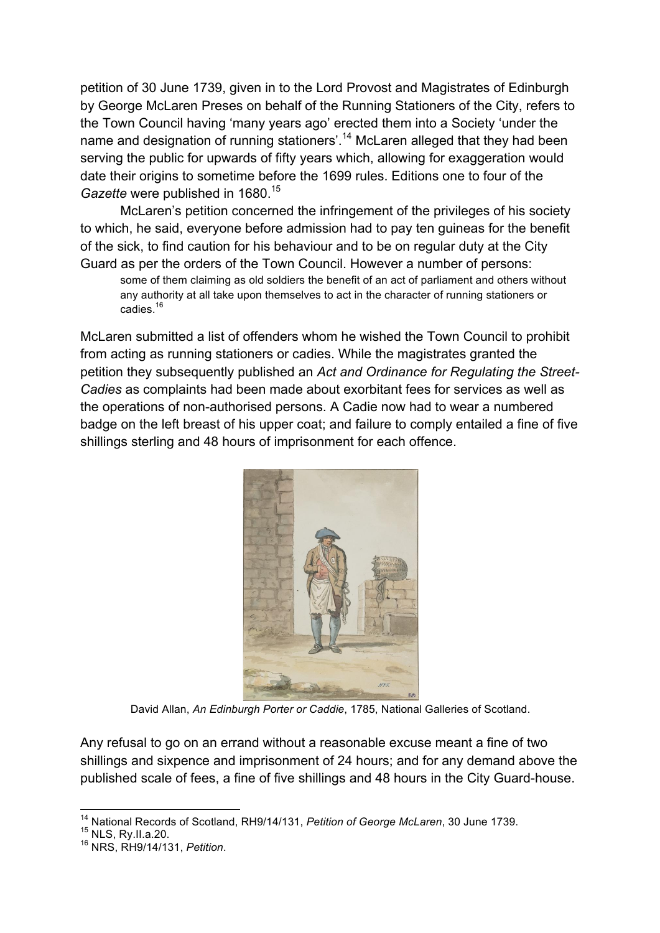petition of 30 June 1739, given in to the Lord Provost and Magistrates of Edinburgh by George McLaren Preses on behalf of the Running Stationers of the City, refers to the Town Council having 'many years ago' erected them into a Society 'under the name and designation of running stationers'.<sup>14</sup> McLaren alleged that they had been serving the public for upwards of fifty years which, allowing for exaggeration would date their origins to sometime before the 1699 rules. Editions one to four of the *Gazette* were published in 1680.<sup>15</sup>

McLaren's petition concerned the infringement of the privileges of his society to which, he said, everyone before admission had to pay ten guineas for the benefit of the sick, to find caution for his behaviour and to be on regular duty at the City Guard as per the orders of the Town Council. However a number of persons:

some of them claiming as old soldiers the benefit of an act of parliament and others without any authority at all take upon themselves to act in the character of running stationers or cadies.<sup>16</sup>

McLaren submitted a list of offenders whom he wished the Town Council to prohibit from acting as running stationers or cadies. While the magistrates granted the petition they subsequently published an *Act and Ordinance for Regulating the Street-Cadies* as complaints had been made about exorbitant fees for services as well as the operations of non-authorised persons. A Cadie now had to wear a numbered badge on the left breast of his upper coat; and failure to comply entailed a fine of five shillings sterling and 48 hours of imprisonment for each offence.



David Allan, *An Edinburgh Porter or Caddie*, 1785, National Galleries of Scotland.

Any refusal to go on an errand without a reasonable excuse meant a fine of two shillings and sixpence and imprisonment of 24 hours; and for any demand above the published scale of fees, a fine of five shillings and 48 hours in the City Guard-house.

<sup>&</sup>lt;sup>14</sup> National Records of Scotland, RH9/14/131, *Petition of George McLaren*, 30 June 1739.<br><sup>15</sup> NLS, Rv.II.a.20.

<sup>15</sup> NLS, Ry.II.a.20. <sup>16</sup> NRS, RH9/14/131, *Petition*.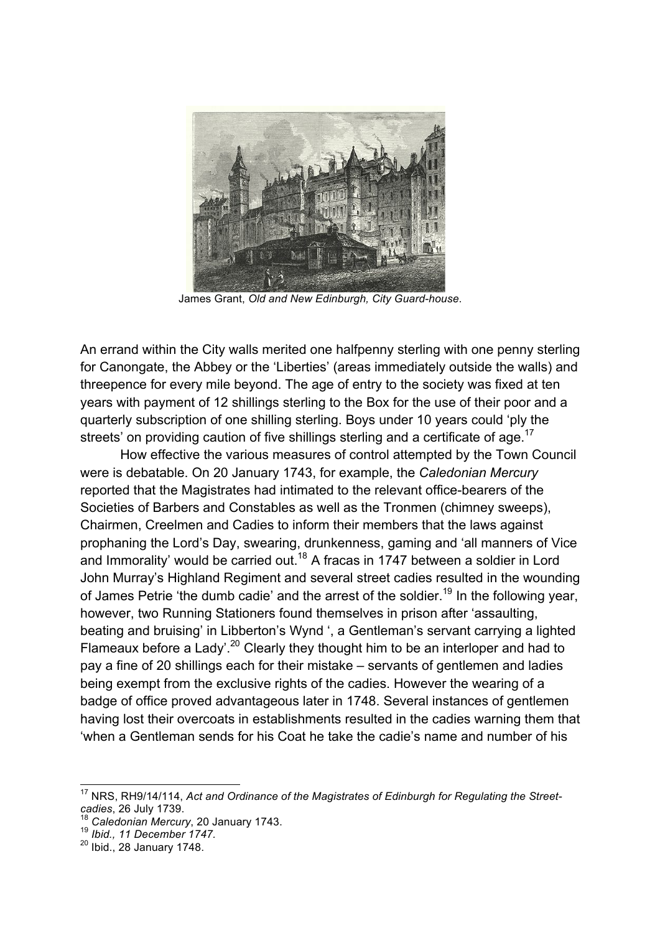

James Grant, *Old and New Edinburgh, City Guard-house*.

An errand within the City walls merited one halfpenny sterling with one penny sterling for Canongate, the Abbey or the 'Liberties' (areas immediately outside the walls) and threepence for every mile beyond. The age of entry to the society was fixed at ten years with payment of 12 shillings sterling to the Box for the use of their poor and a quarterly subscription of one shilling sterling. Boys under 10 years could 'ply the streets' on providing caution of five shillings sterling and a certificate of age.<sup>17</sup>

How effective the various measures of control attempted by the Town Council were is debatable. On 20 January 1743, for example, the *Caledonian Mercury* reported that the Magistrates had intimated to the relevant office-bearers of the Societies of Barbers and Constables as well as the Tronmen (chimney sweeps), Chairmen, Creelmen and Cadies to inform their members that the laws against prophaning the Lord's Day, swearing, drunkenness, gaming and 'all manners of Vice and Immorality' would be carried out.<sup>18</sup> A fracas in 1747 between a soldier in Lord John Murray's Highland Regiment and several street cadies resulted in the wounding of James Petrie 'the dumb cadie' and the arrest of the soldier.<sup>19</sup> In the following year, however, two Running Stationers found themselves in prison after 'assaulting, beating and bruising' in Libberton's Wynd ', a Gentleman's servant carrying a lighted Flameaux before a Lady'.<sup>20</sup> Clearly they thought him to be an interloper and had to pay a fine of 20 shillings each for their mistake – servants of gentlemen and ladies being exempt from the exclusive rights of the cadies. However the wearing of a badge of office proved advantageous later in 1748. Several instances of gentlemen having lost their overcoats in establishments resulted in the cadies warning them that 'when a Gentleman sends for his Coat he take the cadie's name and number of his

<sup>&</sup>lt;sup>17</sup> NRS, RH9/14/114, Act and Ordinance of the Magistrates of Edinburgh for Regulating the Street-<br>cadies. 26 July 1739.

<sup>&</sup>lt;sup>18</sup> Caledonian Mercury, 20 January 1743.<br><sup>19</sup> *Ibid., 11 December 1747.* 

 $20$  Ibid., 28 January 1748.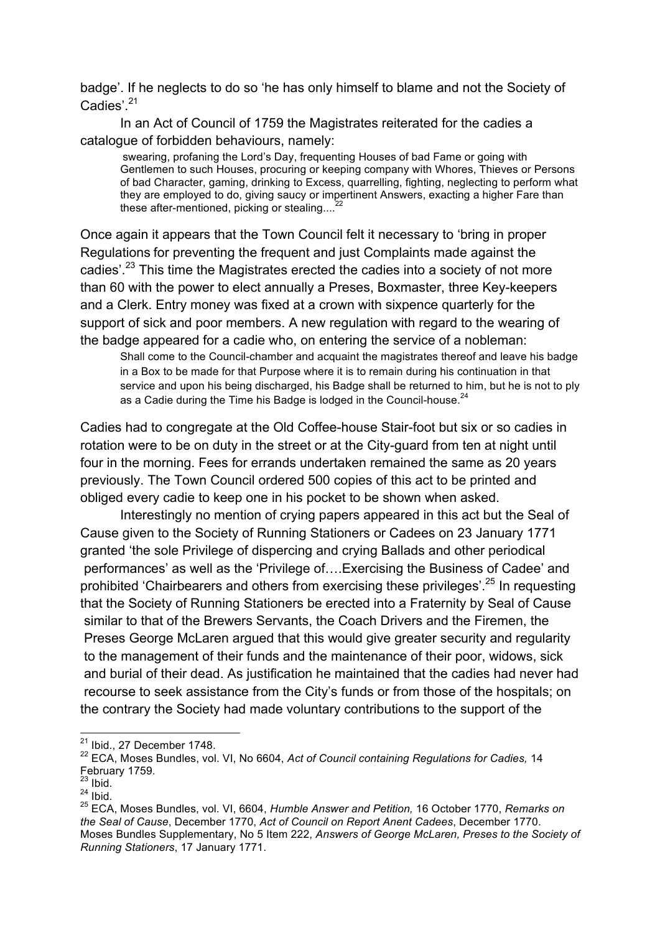badge'. If he neglects to do so 'he has only himself to blame and not the Society of Cadies'.<sup>21</sup>

In an Act of Council of 1759 the Magistrates reiterated for the cadies a catalogue of forbidden behaviours, namely:

swearing, profaning the Lord's Day, frequenting Houses of bad Fame or going with Gentlemen to such Houses, procuring or keeping company with Whores, Thieves or Persons of bad Character, gaming, drinking to Excess, quarrelling, fighting, neglecting to perform what they are employed to do, giving saucy or impertinent Answers, exacting a higher Fare than these after-mentioned, picking or stealing....<sup>2</sup>

Once again it appears that the Town Council felt it necessary to 'bring in proper Regulations for preventing the frequent and just Complaints made against the cadies'.<sup>23</sup> This time the Magistrates erected the cadies into a society of not more than 60 with the power to elect annually a Preses, Boxmaster, three Key-keepers and a Clerk. Entry money was fixed at a crown with sixpence quarterly for the support of sick and poor members. A new regulation with regard to the wearing of the badge appeared for a cadie who, on entering the service of a nobleman:

Shall come to the Council-chamber and acquaint the magistrates thereof and leave his badge in a Box to be made for that Purpose where it is to remain during his continuation in that service and upon his being discharged, his Badge shall be returned to him, but he is not to ply as a Cadie during the Time his Badge is lodged in the Council-house. $^{24}$ 

Cadies had to congregate at the Old Coffee-house Stair-foot but six or so cadies in rotation were to be on duty in the street or at the City-guard from ten at night until four in the morning. Fees for errands undertaken remained the same as 20 years previously. The Town Council ordered 500 copies of this act to be printed and obliged every cadie to keep one in his pocket to be shown when asked.

Interestingly no mention of crying papers appeared in this act but the Seal of Cause given to the Society of Running Stationers or Cadees on 23 January 1771 granted 'the sole Privilege of dispercing and crying Ballads and other periodical performances' as well as the 'Privilege of….Exercising the Business of Cadee' and prohibited 'Chairbearers and others from exercising these privileges'.<sup>25</sup> In requesting that the Society of Running Stationers be erected into a Fraternity by Seal of Cause similar to that of the Brewers Servants, the Coach Drivers and the Firemen, the Preses George McLaren argued that this would give greater security and regularity to the management of their funds and the maintenance of their poor, widows, sick and burial of their dead. As justification he maintained that the cadies had never had recourse to seek assistance from the City's funds or from those of the hospitals; on the contrary the Society had made voluntary contributions to the support of the

 $21$  Ibid., 27 December 1748.

<sup>22</sup> ECA, Moses Bundles, vol. VI, No 6604, *Act of Council containing Regulations for Cadies,* 14 February 1759.

 $^{23}$  Ibid.

 $^{24}$  Ibid.

<sup>25</sup> ECA, Moses Bundles, vol. VI, 6604, *Humble Answer and Petition,* 16 October 1770, *Remarks on the Seal of Cause*, December 1770, *Act of Council on Report Anent Cadees*, December 1770. Moses Bundles Supplementary, No 5 Item 222, *Answers of George McLaren, Preses to the Society of Running Stationers*, 17 January 1771.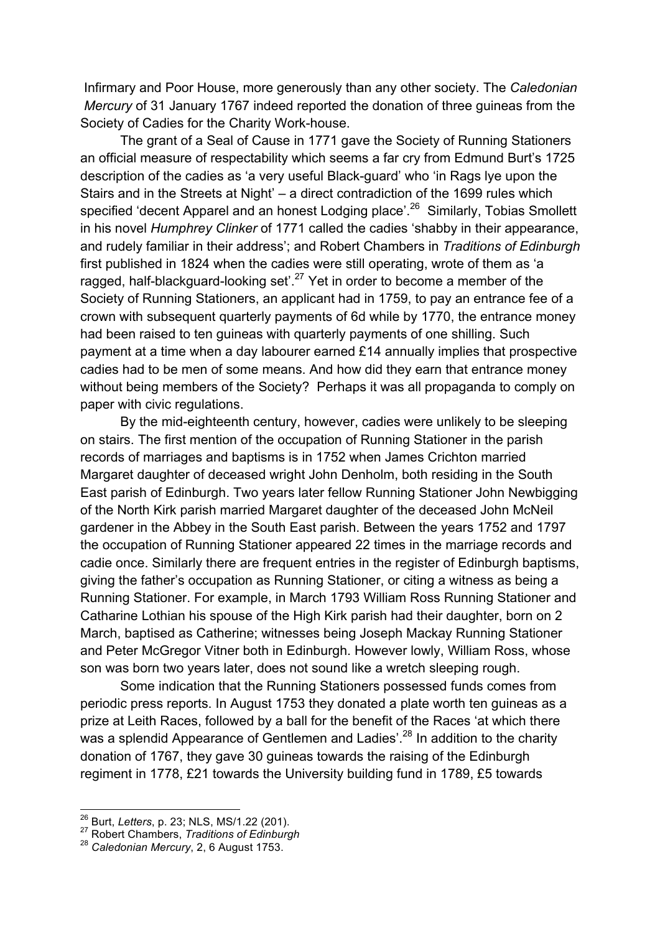Infirmary and Poor House, more generously than any other society. The *Caledonian Mercury* of 31 January 1767 indeed reported the donation of three guineas from the Society of Cadies for the Charity Work-house.

The grant of a Seal of Cause in 1771 gave the Society of Running Stationers an official measure of respectability which seems a far cry from Edmund Burt's 1725 description of the cadies as 'a very useful Black-guard' who 'in Rags lye upon the Stairs and in the Streets at Night' – a direct contradiction of the 1699 rules which specified 'decent Apparel and an honest Lodging place'.<sup>26</sup> Similarly, Tobias Smollett in his novel *Humphrey Clinker* of 1771 called the cadies 'shabby in their appearance, and rudely familiar in their address'; and Robert Chambers in *Traditions of Edinburgh* first published in 1824 when the cadies were still operating, wrote of them as 'a ragged, half-blackguard-looking set'.<sup>27</sup> Yet in order to become a member of the Society of Running Stationers, an applicant had in 1759, to pay an entrance fee of a crown with subsequent quarterly payments of 6d while by 1770, the entrance money had been raised to ten guineas with quarterly payments of one shilling. Such payment at a time when a day labourer earned £14 annually implies that prospective cadies had to be men of some means. And how did they earn that entrance money without being members of the Society? Perhaps it was all propaganda to comply on paper with civic regulations.

By the mid-eighteenth century, however, cadies were unlikely to be sleeping on stairs. The first mention of the occupation of Running Stationer in the parish records of marriages and baptisms is in 1752 when James Crichton married Margaret daughter of deceased wright John Denholm, both residing in the South East parish of Edinburgh. Two years later fellow Running Stationer John Newbigging of the North Kirk parish married Margaret daughter of the deceased John McNeil gardener in the Abbey in the South East parish. Between the years 1752 and 1797 the occupation of Running Stationer appeared 22 times in the marriage records and cadie once. Similarly there are frequent entries in the register of Edinburgh baptisms, giving the father's occupation as Running Stationer, or citing a witness as being a Running Stationer. For example, in March 1793 William Ross Running Stationer and Catharine Lothian his spouse of the High Kirk parish had their daughter, born on 2 March, baptised as Catherine; witnesses being Joseph Mackay Running Stationer and Peter McGregor Vitner both in Edinburgh. However lowly, William Ross, whose son was born two years later, does not sound like a wretch sleeping rough.

Some indication that the Running Stationers possessed funds comes from periodic press reports. In August 1753 they donated a plate worth ten guineas as a prize at Leith Races, followed by a ball for the benefit of the Races 'at which there was a splendid Appearance of Gentlemen and Ladies'.<sup>28</sup> In addition to the charity donation of 1767, they gave 30 guineas towards the raising of the Edinburgh regiment in 1778, £21 towards the University building fund in 1789, £5 towards

<sup>26</sup> Burt, *Letters*, p. 23; NLS, MS/1.22 (201). <sup>27</sup> Robert Chambers, *Traditions of Edinburgh* <sup>28</sup> *Caledonian Mercury*, 2, 6 August 1753.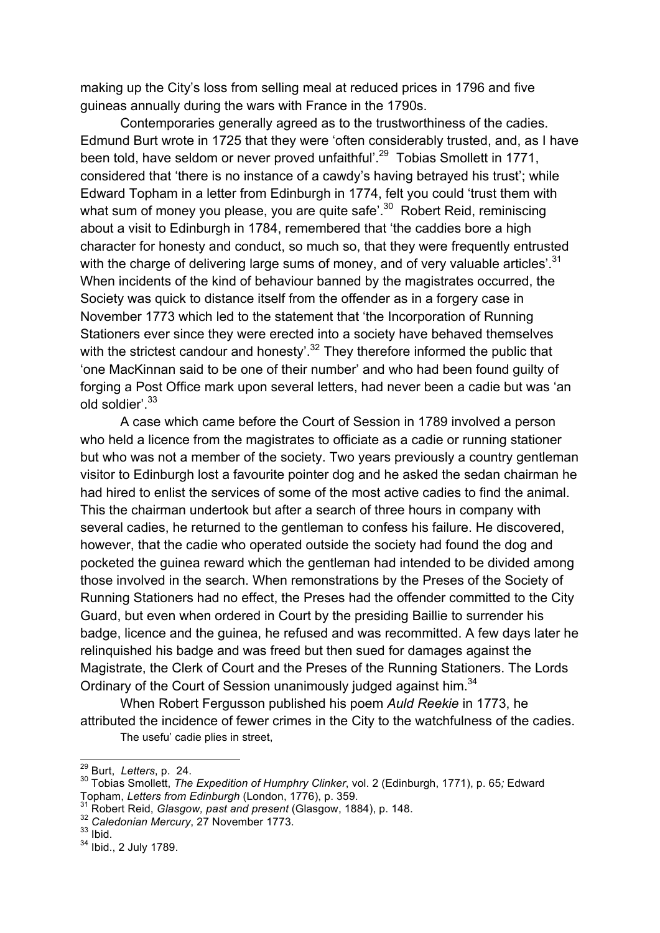making up the City's loss from selling meal at reduced prices in 1796 and five guineas annually during the wars with France in the 1790s.

Contemporaries generally agreed as to the trustworthiness of the cadies. Edmund Burt wrote in 1725 that they were 'often considerably trusted, and, as I have been told, have seldom or never proved unfaithful'.<sup>29</sup> Tobias Smollett in 1771, considered that 'there is no instance of a cawdy's having betrayed his trust'; while Edward Topham in a letter from Edinburgh in 1774, felt you could 'trust them with what sum of money you please, you are quite safe'.<sup>30</sup> Robert Reid, reminiscing about a visit to Edinburgh in 1784, remembered that 'the caddies bore a high character for honesty and conduct, so much so, that they were frequently entrusted with the charge of delivering large sums of money, and of very valuable articles'.<sup>31</sup> When incidents of the kind of behaviour banned by the magistrates occurred, the Society was quick to distance itself from the offender as in a forgery case in November 1773 which led to the statement that 'the Incorporation of Running Stationers ever since they were erected into a society have behaved themselves with the strictest candour and honesty'.<sup>32</sup> They therefore informed the public that 'one MacKinnan said to be one of their number' and who had been found guilty of forging a Post Office mark upon several letters, had never been a cadie but was 'an old soldier'.33

A case which came before the Court of Session in 1789 involved a person who held a licence from the magistrates to officiate as a cadie or running stationer but who was not a member of the society. Two years previously a country gentleman visitor to Edinburgh lost a favourite pointer dog and he asked the sedan chairman he had hired to enlist the services of some of the most active cadies to find the animal. This the chairman undertook but after a search of three hours in company with several cadies, he returned to the gentleman to confess his failure. He discovered, however, that the cadie who operated outside the society had found the dog and pocketed the guinea reward which the gentleman had intended to be divided among those involved in the search. When remonstrations by the Preses of the Society of Running Stationers had no effect, the Preses had the offender committed to the City Guard, but even when ordered in Court by the presiding Baillie to surrender his badge, licence and the guinea, he refused and was recommitted. A few days later he relinquished his badge and was freed but then sued for damages against the Magistrate, the Clerk of Court and the Preses of the Running Stationers. The Lords Ordinary of the Court of Session unanimously judged against him.<sup>34</sup>

When Robert Fergusson published his poem *Auld Reekie* in 1773, he attributed the incidence of fewer crimes in the City to the watchfulness of the cadies. The usefu' cadie plies in street,

<sup>&</sup>lt;sup>29</sup> Burt, *Letters*, p. 24.<br><sup>30</sup> Tobias Smollett, *The Expedition of Humphry Clinker*, vol. 2 (Edinburgh, 1771), p. 65; Edward<br>Topham, Letters from Edinburgh (London, 1776), p. 359.

<sup>&</sup>lt;sup>31</sup> Robert Reid, *Glasgow, past and present* (Glasgow, 1884), p. 148. <sup>32</sup> *Caledonian Mercury*, 27 November 1773.

 $33$  lbid.

<sup>34</sup> Ibid., 2 July 1789.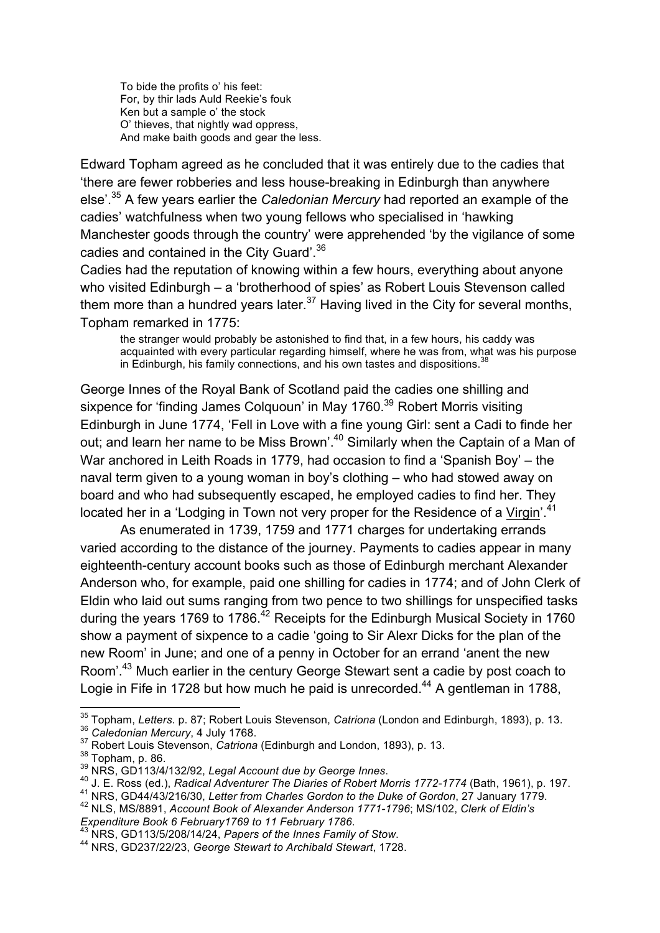To bide the profits o' his feet: For, by thir lads Auld Reekie's fouk Ken but a sample o' the stock O' thieves, that nightly wad oppress, And make baith goods and gear the less.

Edward Topham agreed as he concluded that it was entirely due to the cadies that 'there are fewer robberies and less house-breaking in Edinburgh than anywhere else'. <sup>35</sup> A few years earlier the *Caledonian Mercury* had reported an example of the cadies' watchfulness when two young fellows who specialised in 'hawking Manchester goods through the country' were apprehended 'by the vigilance of some cadies and contained in the City Guard'.<sup>36</sup>

Cadies had the reputation of knowing within a few hours, everything about anyone who visited Edinburgh – a 'brotherhood of spies' as Robert Louis Stevenson called them more than a hundred years later. $37$  Having lived in the City for several months, Topham remarked in 1775:

the stranger would probably be astonished to find that, in a few hours, his caddy was acquainted with every particular regarding himself, where he was from, what was his purpose in Edinburgh, his family connections, and his own tastes and dispositions.<sup>3</sup>

George Innes of the Royal Bank of Scotland paid the cadies one shilling and sixpence for 'finding James Colquoun' in May 1760.<sup>39</sup> Robert Morris visiting Edinburgh in June 1774, 'Fell in Love with a fine young Girl: sent a Cadi to finde her out; and learn her name to be Miss Brown'.<sup>40</sup> Similarly when the Captain of a Man of War anchored in Leith Roads in 1779, had occasion to find a 'Spanish Boy' – the naval term given to a young woman in boy's clothing – who had stowed away on board and who had subsequently escaped, he employed cadies to find her. They located her in a 'Lodging in Town not very proper for the Residence of a Virgin'.<sup>41</sup>

As enumerated in 1739, 1759 and 1771 charges for undertaking errands varied according to the distance of the journey. Payments to cadies appear in many eighteenth-century account books such as those of Edinburgh merchant Alexander Anderson who, for example, paid one shilling for cadies in 1774; and of John Clerk of Eldin who laid out sums ranging from two pence to two shillings for unspecified tasks during the years 1769 to 1786.<sup>42</sup> Receipts for the Edinburgh Musical Society in 1760 show a payment of sixpence to a cadie 'going to Sir Alexr Dicks for the plan of the new Room' in June; and one of a penny in October for an errand 'anent the new Room'.43 Much earlier in the century George Stewart sent a cadie by post coach to Logie in Fife in 1728 but how much he paid is unrecorded.<sup>44</sup> A gentleman in 1788,

<sup>&</sup>lt;sup>35</sup> Topham, *Letters.* p. 87; Robert Louis Stevenson, *Catriona* (London and Edinburgh, 1893), p. 13.<br><sup>36</sup> Caledonian Mercury, 4 July 1768.<br><sup>37</sup> Robert Louis Stevenson, *Catriona* (Edinburgh and London, 1893), p. 13.<br><sup>38</sup>

*Expenditure Book 6 February1769 to 11 February 1786*. <sup>43</sup> NRS, GD113/5/208/14/24, *Papers of the Innes Family of Stow*. <sup>44</sup> NRS, GD237/22/23, *George Stewart to Archibald Stewart*, 1728.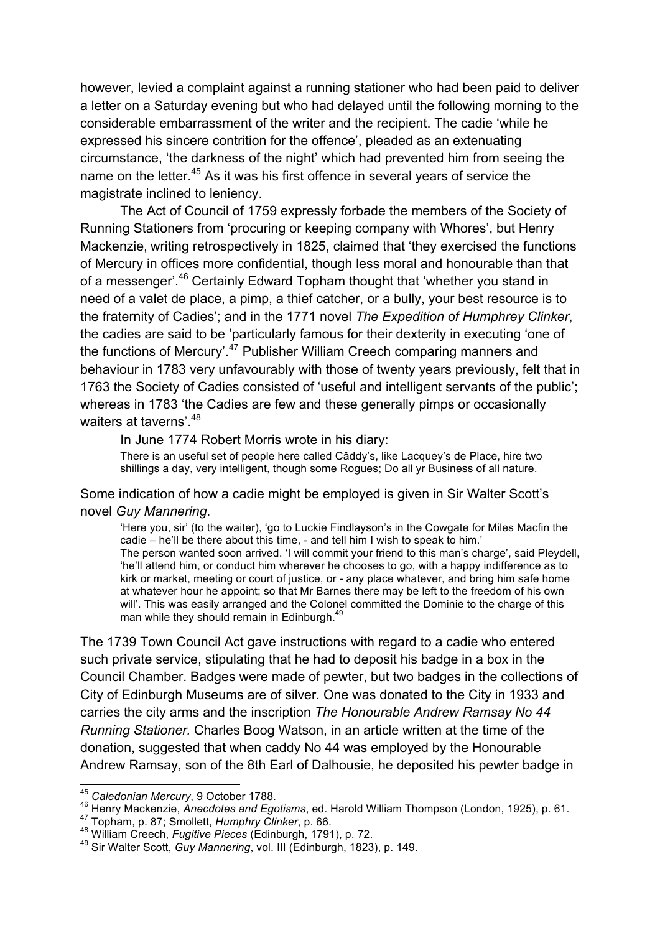however, levied a complaint against a running stationer who had been paid to deliver a letter on a Saturday evening but who had delayed until the following morning to the considerable embarrassment of the writer and the recipient. The cadie 'while he expressed his sincere contrition for the offence', pleaded as an extenuating circumstance, 'the darkness of the night' which had prevented him from seeing the name on the letter.<sup>45</sup> As it was his first offence in several years of service the magistrate inclined to leniency.

The Act of Council of 1759 expressly forbade the members of the Society of Running Stationers from 'procuring or keeping company with Whores', but Henry Mackenzie, writing retrospectively in 1825, claimed that 'they exercised the functions of Mercury in offices more confidential, though less moral and honourable than that of a messenger'.<sup>46</sup> Certainly Edward Topham thought that 'whether you stand in need of a valet de place, a pimp, a thief catcher, or a bully, your best resource is to the fraternity of Cadies'; and in the 1771 novel *The Expedition of Humphrey Clinker*, the cadies are said to be 'particularly famous for their dexterity in executing 'one of the functions of Mercury'.<sup>47</sup> Publisher William Creech comparing manners and behaviour in 1783 very unfavourably with those of twenty years previously, felt that in 1763 the Society of Cadies consisted of 'useful and intelligent servants of the public'; whereas in 1783 'the Cadies are few and these generally pimps or occasionally waiters at taverns<sup>', 48</sup>

In June 1774 Robert Morris wrote in his diary:

There is an useful set of people here called Câddy's, like Lacquey's de Place, hire two shillings a day, very intelligent, though some Rogues; Do all yr Business of all nature.

Some indication of how a cadie might be employed is given in Sir Walter Scott's novel *Guy Mannering*.

'Here you, sir' (to the waiter), 'go to Luckie Findlayson's in the Cowgate for Miles Macfin the cadie – he'll be there about this time, - and tell him I wish to speak to him.' The person wanted soon arrived. 'I will commit your friend to this man's charge', said Pleydell, 'he'll attend him, or conduct him wherever he chooses to go, with a happy indifference as to kirk or market, meeting or court of justice, or - any place whatever, and bring him safe home at whatever hour he appoint; so that Mr Barnes there may be left to the freedom of his own will'. This was easily arranged and the Colonel committed the Dominie to the charge of this man while they should remain in Edinburgh.<sup>4</sup>

The 1739 Town Council Act gave instructions with regard to a cadie who entered such private service, stipulating that he had to deposit his badge in a box in the Council Chamber. Badges were made of pewter, but two badges in the collections of City of Edinburgh Museums are of silver. One was donated to the City in 1933 and carries the city arms and the inscription *The Honourable Andrew Ramsay No 44 Running Stationer.* Charles Boog Watson, in an article written at the time of the donation, suggested that when caddy No 44 was employed by the Honourable Andrew Ramsay, son of the 8th Earl of Dalhousie, he deposited his pewter badge in

 <sup>45</sup> *Caledonian Mercury*, 9 October 1788.

<sup>&</sup>lt;sup>46</sup> Henry Mackenzie, *Anecdotes and Egotisms*, ed. Harold William Thompson (London, 1925), p. 61.<br><sup>47</sup> Topham, p. 87; Smollett, *Humphry Clinker*, p. 66.<br><sup>48</sup> William Creech, *Fugitive Pieces* (Edinburgh, 1791), p. 72.<br><sup></sup>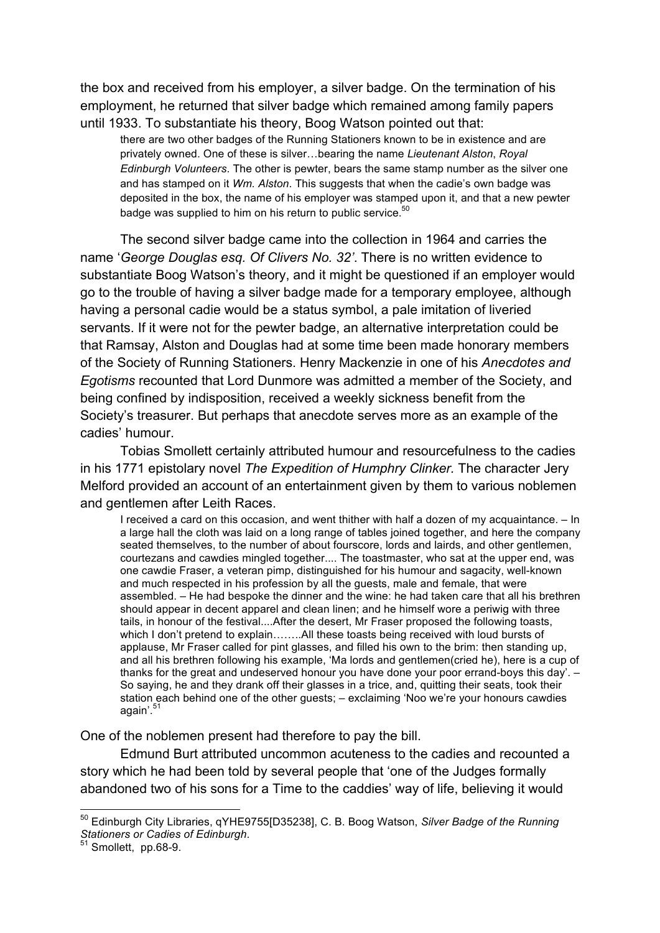the box and received from his employer, a silver badge. On the termination of his employment, he returned that silver badge which remained among family papers until 1933. To substantiate his theory, Boog Watson pointed out that:

there are two other badges of the Running Stationers known to be in existence and are privately owned. One of these is silver…bearing the name *Lieutenant Alston*, *Royal Edinburgh Volunteers*. The other is pewter, bears the same stamp number as the silver one and has stamped on it *Wm. Alston*. This suggests that when the cadie's own badge was deposited in the box, the name of his employer was stamped upon it, and that a new pewter badge was supplied to him on his return to public service.<sup>50</sup>

The second silver badge came into the collection in 1964 and carries the name '*George Douglas esq. Of Clivers No. 32'*. There is no written evidence to substantiate Boog Watson's theory, and it might be questioned if an employer would go to the trouble of having a silver badge made for a temporary employee, although having a personal cadie would be a status symbol, a pale imitation of liveried servants. If it were not for the pewter badge, an alternative interpretation could be that Ramsay, Alston and Douglas had at some time been made honorary members of the Society of Running Stationers. Henry Mackenzie in one of his *Anecdotes and Egotisms* recounted that Lord Dunmore was admitted a member of the Society, and being confined by indisposition, received a weekly sickness benefit from the Society's treasurer. But perhaps that anecdote serves more as an example of the cadies' humour.

Tobias Smollett certainly attributed humour and resourcefulness to the cadies in his 1771 epistolary novel *The Expedition of Humphry Clinker.* The character Jery Melford provided an account of an entertainment given by them to various noblemen and gentlemen after Leith Races.

I received a card on this occasion, and went thither with half a dozen of my acquaintance. – In a large hall the cloth was laid on a long range of tables joined together, and here the company seated themselves, to the number of about fourscore, lords and lairds, and other gentlemen, courtezans and cawdies mingled together.... The toastmaster, who sat at the upper end, was one cawdie Fraser, a veteran pimp, distinguished for his humour and sagacity, well-known and much respected in his profession by all the guests, male and female, that were assembled. – He had bespoke the dinner and the wine: he had taken care that all his brethren should appear in decent apparel and clean linen; and he himself wore a periwig with three tails, in honour of the festival....After the desert, Mr Fraser proposed the following toasts, which I don't pretend to explain........All these toasts being received with loud bursts of applause, Mr Fraser called for pint glasses, and filled his own to the brim: then standing up, and all his brethren following his example, 'Ma lords and gentlemen(cried he), here is a cup of thanks for the great and undeserved honour you have done your poor errand-boys this day'. – So saying, he and they drank off their glasses in a trice, and, quitting their seats, took their station each behind one of the other guests; – exclaiming 'Noo we're your honours cawdies again'.<sup>5</sup>

One of the noblemen present had therefore to pay the bill.

Edmund Burt attributed uncommon acuteness to the cadies and recounted a story which he had been told by several people that 'one of the Judges formally abandoned two of his sons for a Time to the caddies' way of life, believing it would

 <sup>50</sup> Edinburgh City Libraries, qYHE9755[D35238], C. B. Boog Watson, *Silver Badge of the Running Stationers or Cadies of Edinburgh*. <sup>51</sup> Smollett, pp.68-9.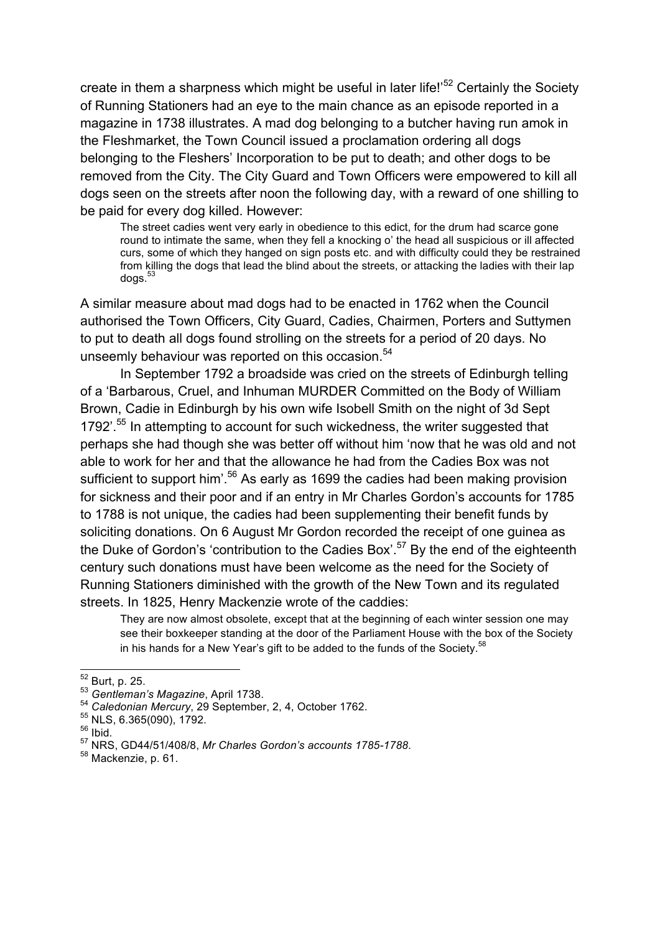create in them a sharpness which might be useful in later life!<sup>52</sup> Certainly the Society of Running Stationers had an eye to the main chance as an episode reported in a magazine in 1738 illustrates. A mad dog belonging to a butcher having run amok in the Fleshmarket, the Town Council issued a proclamation ordering all dogs belonging to the Fleshers' Incorporation to be put to death; and other dogs to be removed from the City. The City Guard and Town Officers were empowered to kill all dogs seen on the streets after noon the following day, with a reward of one shilling to be paid for every dog killed. However:

The street cadies went very early in obedience to this edict, for the drum had scarce gone round to intimate the same, when they fell a knocking o' the head all suspicious or ill affected curs, some of which they hanged on sign posts etc. and with difficulty could they be restrained from killing the dogs that lead the blind about the streets, or attacking the ladies with their lap dogs.<sup>53</sup>

A similar measure about mad dogs had to be enacted in 1762 when the Council authorised the Town Officers, City Guard, Cadies, Chairmen, Porters and Suttymen to put to death all dogs found strolling on the streets for a period of 20 days. No unseemly behaviour was reported on this occasion.<sup>54</sup>

In September 1792 a broadside was cried on the streets of Edinburgh telling of a 'Barbarous, Cruel, and Inhuman MURDER Committed on the Body of William Brown, Cadie in Edinburgh by his own wife Isobell Smith on the night of 3d Sept 1792<sup>'.55</sup> In attempting to account for such wickedness, the writer suggested that perhaps she had though she was better off without him 'now that he was old and not able to work for her and that the allowance he had from the Cadies Box was not sufficient to support him<sup>', 56</sup> As early as 1699 the cadies had been making provision for sickness and their poor and if an entry in Mr Charles Gordon's accounts for 1785 to 1788 is not unique, the cadies had been supplementing their benefit funds by soliciting donations. On 6 August Mr Gordon recorded the receipt of one guinea as the Duke of Gordon's 'contribution to the Cadies Box'.<sup>57</sup> By the end of the eighteenth century such donations must have been welcome as the need for the Society of Running Stationers diminished with the growth of the New Town and its regulated streets. In 1825, Henry Mackenzie wrote of the caddies:

They are now almost obsolete, except that at the beginning of each winter session one may see their boxkeeper standing at the door of the Parliament House with the box of the Society in his hands for a New Year's gift to be added to the funds of the Society.<sup>58</sup>

<sup>&</sup>lt;sup>52</sup> Burt, p. 25.<br><sup>53</sup> *Gentleman's Magazine*, April 1738.<br><sup>54</sup> *Caledonian Mercury*, 29 September, 2, 4, October 1762.<br><sup>55</sup> NLS, 6.365(090), 1792.

<sup>56</sup> Ibid.

<sup>57</sup> NRS, GD44/51/408/8, *Mr Charles Gordon's accounts 1785-1788*. <sup>58</sup> Mackenzie, p. 61.